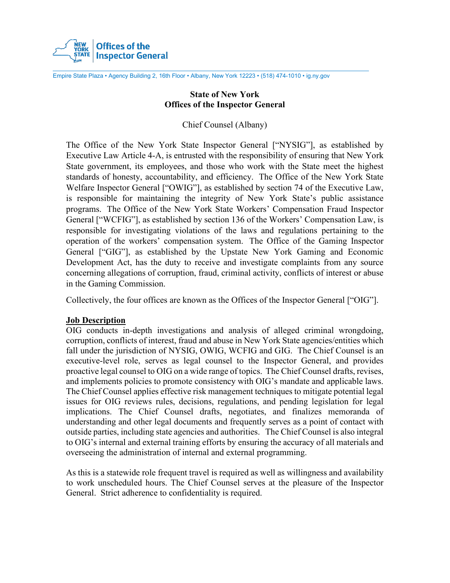

Empire State Plaza • Agency Building 2, 16th Floor • Albany, New York 12223 • (518) 474-1010 • ig.ny.gov

# **State of New York Offices of the Inspector General**

Chief Counsel (Albany)

The Office of the New York State Inspector General ["NYSIG"], as established by Executive Law Article 4-A, is entrusted with the responsibility of ensuring that New York State government, its employees, and those who work with the State meet the highest standards of honesty, accountability, and efficiency. The Office of the New York State Welfare Inspector General ["OWIG"], as established by section 74 of the Executive Law, is responsible for maintaining the integrity of New York State's public assistance programs. The Office of the New York State Workers' Compensation Fraud Inspector General ["WCFIG"], as established by section 136 of the Workers' Compensation Law, is responsible for investigating violations of the laws and regulations pertaining to the operation of the workers' compensation system. The Office of the Gaming Inspector General ["GIG"], as established by the Upstate New York Gaming and Economic Development Act, has the duty to receive and investigate complaints from any source concerning allegations of corruption, fraud, criminal activity, conflicts of interest or abuse in the Gaming Commission.

Collectively, the four offices are known as the Offices of the Inspector General ["OIG"].

# **Job Description**

OIG conducts in-depth investigations and analysis of alleged criminal wrongdoing, corruption, conflicts of interest, fraud and abuse in New York State agencies/entities which fall under the jurisdiction of NYSIG, OWIG, WCFIG and GIG. The Chief Counsel is an executive-level role, serves as legal counsel to the Inspector General, and provides proactive legal counsel to OIG on a wide range of topics. The Chief Counsel drafts, revises, and implements policies to promote consistency with OIG's mandate and applicable laws. The Chief Counsel applies effective risk management techniques to mitigate potential legal issues for OIG reviews rules, decisions, regulations, and pending legislation for legal implications. The Chief Counsel drafts, negotiates, and finalizes memoranda of understanding and other legal documents and frequently serves as a point of contact with outside parties, including state agencies and authorities. The Chief Counsel is also integral to OIG's internal and external training efforts by ensuring the accuracy of all materials and overseeing the administration of internal and external programming.

As this is a statewide role frequent travel is required as well as willingness and availability to work unscheduled hours. The Chief Counsel serves at the pleasure of the Inspector General. Strict adherence to confidentiality is required.